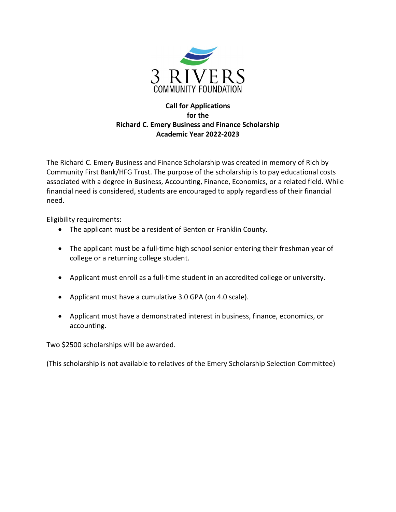

## **Call for Applications for the Richard C. Emery Business and Finance Scholarship Academic Year 2022-2023**

The Richard C. Emery Business and Finance Scholarship was created in memory of Rich by Community First Bank/HFG Trust. The purpose of the scholarship is to pay educational costs associated with a degree in Business, Accounting, Finance, Economics, or a related field. While financial need is considered, students are encouraged to apply regardless of their financial need.

Eligibility requirements:

- The applicant must be a resident of Benton or Franklin County.
- The applicant must be a full-time high school senior entering their freshman year of college or a returning college student.
- Applicant must enroll as a full-time student in an accredited college or university.
- Applicant must have a cumulative 3.0 GPA (on 4.0 scale).
- Applicant must have a demonstrated interest in business, finance, economics, or accounting.

Two \$2500 scholarships will be awarded.

(This scholarship is not available to relatives of the Emery Scholarship Selection Committee)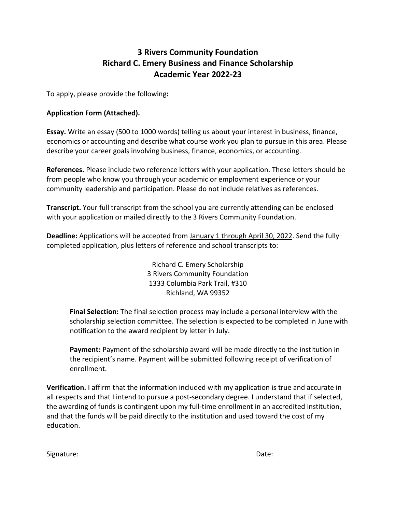# **3 Rivers Community Foundation Richard C. Emery Business and Finance Scholarship Academic Year 2022-23**

To apply, please provide the following**:** 

#### **Application Form (Attached).**

**Essay.** Write an essay (500 to 1000 words) telling us about your interest in business, finance, economics or accounting and describe what course work you plan to pursue in this area. Please describe your career goals involving business, finance, economics, or accounting.

**References.** Please include two reference letters with your application. These letters should be from people who know you through your academic or employment experience or your community leadership and participation. Please do not include relatives as references.

**Transcript.** Your full transcript from the school you are currently attending can be enclosed with your application or mailed directly to the 3 Rivers Community Foundation.

**Deadline:** Applications will be accepted from January 1 through April 30, 2022. Send the fully completed application, plus letters of reference and school transcripts to:

> Richard C. Emery Scholarship 3 Rivers Community Foundation 1333 Columbia Park Trail, #310 Richland, WA 99352

**Final Selection:** The final selection process may include a personal interview with the scholarship selection committee. The selection is expected to be completed in June with notification to the award recipient by letter in July.

**Payment:** Payment of the scholarship award will be made directly to the institution in the recipient's name. Payment will be submitted following receipt of verification of enrollment.

**Verification.** I affirm that the information included with my application is true and accurate in all respects and that I intend to pursue a post-secondary degree. I understand that if selected, the awarding of funds is contingent upon my full-time enrollment in an accredited institution, and that the funds will be paid directly to the institution and used toward the cost of my education.

Signature: Note: Note: Note: Note: Note: Note: Note: Note: Note: Note: Note: Note: Note: Note: Note: Note: Note: Note: Note: Note: Note: Note: Note: Note: Note: Note: Note: Note: Note: Note: Note: Note: Note: Note: Note: N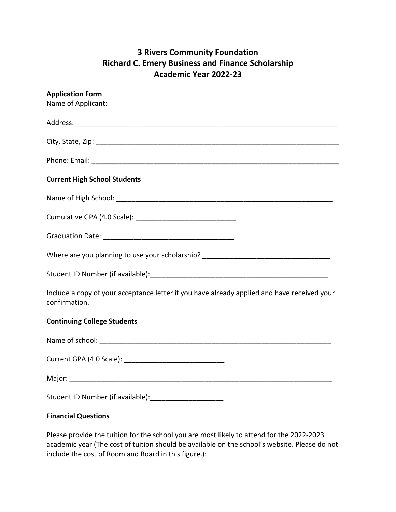# **3 Rivers Community Foundation Richard C. Emery Business and Finance Scholarship Academic Year 2022-23**

| <b>Application Form</b><br>Name of Applicant:                                                                |
|--------------------------------------------------------------------------------------------------------------|
|                                                                                                              |
|                                                                                                              |
|                                                                                                              |
| <b>Current High School Students</b>                                                                          |
|                                                                                                              |
|                                                                                                              |
|                                                                                                              |
| Where are you planning to use your scholarship? ________________________________                             |
|                                                                                                              |
| Include a copy of your acceptance letter if you have already applied and have received your<br>confirmation. |
| <b>Continuing College Students</b>                                                                           |
|                                                                                                              |
|                                                                                                              |
|                                                                                                              |
|                                                                                                              |
| <b>Financial Questions</b>                                                                                   |

Please provide the tuition for the school you are most likely to attend for the 2022-2023 academic year (The cost of tuition should be available on the school's website. Please do not include the cost of Room and Board in this figure.):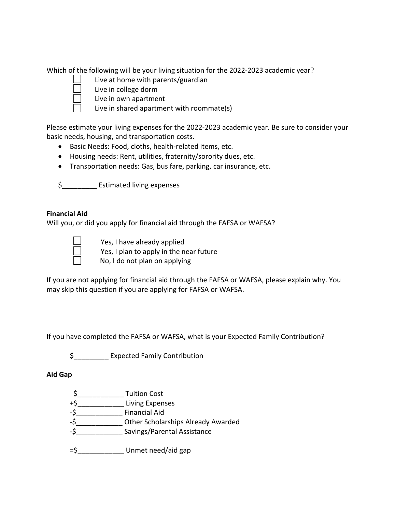Which of the following will be your living situation for the 2022-2023 academic year?

- Live at home with parents/guardian
- Live in college dorm
- Live in own apartment
	- Live in shared apartment with roommate(s)

Please estimate your living expenses for the 2022-2023 academic year. Be sure to consider your basic needs, housing, and transportation costs.

- Basic Needs: Food, cloths, health-related items, etc.
- Housing needs: Rent, utilities, fraternity/sorority dues, etc.
- Transportation needs: Gas, bus fare, parking, car insurance, etc.

\$\_\_\_\_\_\_\_\_\_ Estimated living expenses

### **Financial Aid**

Will you, or did you apply for financial aid through the FAFSA or WAFSA?

Yes, I have already applied Yes, I plan to apply in the near future No, I do not plan on applying

If you are not applying for financial aid through the FAFSA or WAFSA, please explain why. You may skip this question if you are applying for FAFSA or WAFSA.

If you have completed the FAFSA or WAFSA, what is your Expected Family Contribution?

\$\_\_\_\_\_\_\_\_\_ Expected Family Contribution

#### **Aid Gap**

\$\_\_\_\_\_\_\_\_\_\_\_\_ Tuition Cost +\$\_\_\_\_\_\_\_\_\_\_\_\_ Living Expenses -\$\_\_\_\_\_\_\_\_\_\_\_\_ Financial Aid -\$\_\_\_\_\_\_\_\_\_\_\_\_ Other Scholarships Already Awarded -\$\_\_\_\_\_\_\_\_\_\_\_\_ Savings/Parental Assistance =\$\_\_\_\_\_\_\_\_\_\_\_\_ Unmet need/aid gap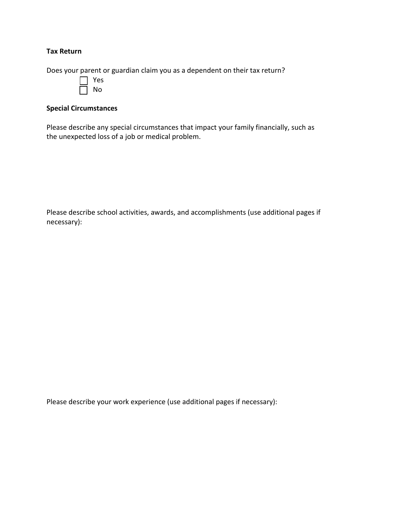#### **Tax Return**

Does your parent or guardian claim you as a dependent on their tax return?

| ρς<br>Y |
|---------|
| N<br>n  |

### **Special Circumstances**

Please describe any special circumstances that impact your family financially, such as the unexpected loss of a job or medical problem.

Please describe school activities, awards, and accomplishments (use additional pages if necessary):

Please describe your work experience (use additional pages if necessary):